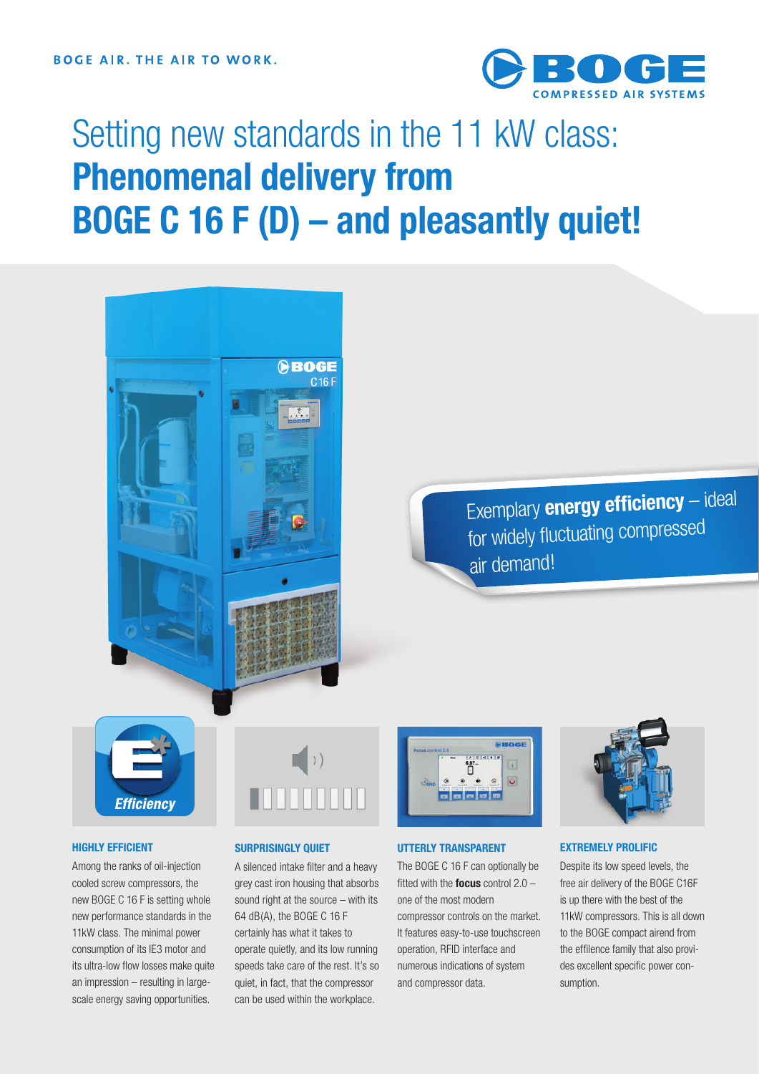

# Setting new standards in the 11 kW class: **Phenomenal delivery from BOGE C 16 F (D) – and pleasantly quiet!**



Exemplary **energy efficiency** – ideal for widely fluctuating compresse<sup>d</sup> air demand!



#### **HIGHLY EFFICIENT**

Among the ranks of oil-injection cooled screw compressors, the new BOGE C 16 F is setting whole new performance standards in the 11kW class. The minimal power consumption of its IE3 motor and its ultra-low flow losses make quite an impression – resulting in largescale energy saving opportunities.



#### **SURPRISINGLY QUIET**

A silenced intake filter and a heavy grey cast iron housing that absorbs sound right at the source – with its 64 dB(A), the BOGE C 16 F certainly has what it takes to operate quietly, and its low running speeds take care of the rest. It's so quiet, in fact, that the compressor can be used within the workplace.



#### **UTTERLY TRANSPARENT**

The BOGE C 16 F can optionally be fitted with the **focus** control 2.0 – one of the most modern compressor controls on the market. It features easy-to-use touchscreen operation, RFID interface and numerous indications of system and compressor data.



#### **EXTREMELY PROLIFIC**

Despite its low speed levels, the free air delivery of the BOGE C16F is up there with the best of the 11kW compressors. This is all down to the BOGE compact airend from the effilence family that also provides excellent specific power consumption.